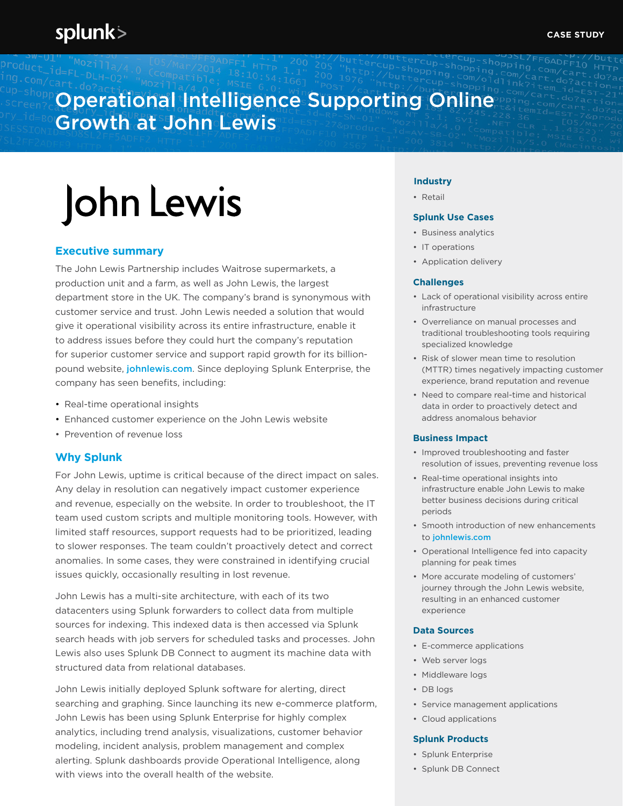# Operational Intelligence Supporting Online Growth at John Lewis

# John Lewis

### **Executive summary**

The John Lewis Partnership includes Waitrose supermarkets, a production unit and a farm, as well as John Lewis, the largest department store in the UK. The company's brand is synonymous with customer service and trust. John Lewis needed a solution that would give it operational visibility across its entire infrastructure, enable it to address issues before they could hurt the company's reputation for superior customer service and support rapid growth for its billionpound website, *[johnlewis.com](http://johnlewis.com)*. Since deploying Splunk Enterprise, the company has seen benefits, including:

- Real-time operational insights
- Enhanced customer experience on the John Lewis website
- Prevention of revenue loss

#### **Why Splunk**

For John Lewis, uptime is critical because of the direct impact on sales. Any delay in resolution can negatively impact customer experience and revenue, especially on the website. In order to troubleshoot, the IT team used custom scripts and multiple monitoring tools. However, with limited staff resources, support requests had to be prioritized, leading to slower responses. The team couldn't proactively detect and correct anomalies. In some cases, they were constrained in identifying crucial issues quickly, occasionally resulting in lost revenue.

John Lewis has a multi-site architecture, with each of its two datacenters using Splunk forwarders to collect data from multiple sources for indexing. This indexed data is then accessed via Splunk search heads with job servers for scheduled tasks and processes. John Lewis also uses Splunk DB Connect to augment its machine data with structured data from relational databases.

John Lewis initially deployed Splunk software for alerting, direct searching and graphing. Since launching its new e-commerce platform, John Lewis has been using Splunk Enterprise for highly complex analytics, including trend analysis, visualizations, customer behavior modeling, incident analysis, problem management and complex alerting. Splunk dashboards provide Operational Intelligence, along with views into the overall health of the website.

#### **Industry**

• Retail

#### **Splunk Use Cases**

- Business analytics
- IT operations
- Application delivery

#### **Challenges**

- Lack of operational visibility across entire infrastructure
- Overreliance on manual processes and traditional troubleshooting tools requiring specialized knowledge
- Risk of slower mean time to resolution (MTTR) times negatively impacting customer experience, brand reputation and revenue
- Need to compare real-time and historical data in order to proactively detect and address anomalous behavior

#### **Business Impact**

- Improved troubleshooting and faster resolution of issues, preventing revenue loss
- Real-time operational insights into infrastructure enable John Lewis to make better business decisions during critical periods
- Smooth introduction of new enhancements to [johnlewis.com](http://johnlewis.com)
- Operational Intelligence fed into capacity planning for peak times
- More accurate modeling of customers' journey through the John Lewis website, resulting in an enhanced customer experience

#### **Data Sources**

- E-commerce applications
- Web server logs
- Middleware logs
- DB logs
- Service management applications
- Cloud applications

#### **Splunk Products**

- Splunk Enterprise
- Splunk DB Connect